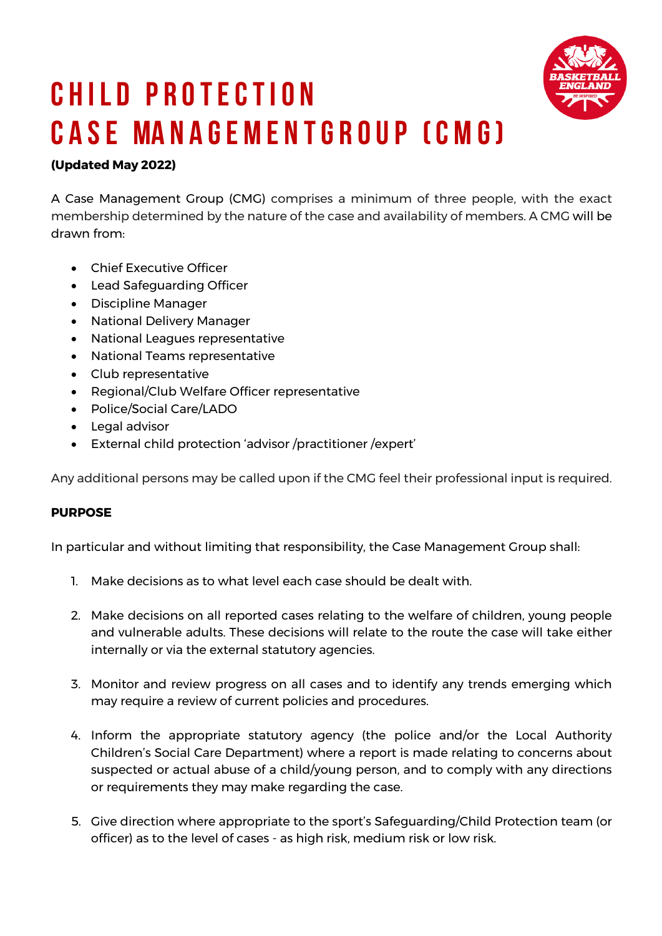

# **C h I l d P r otectI o n C a se Ma n a ge m e n t G r oup (C M G)**

## **(Updated May 2022)**

A Case Management Group (CMG) comprises a minimum of three people, with the exact membership determined by the nature of the case and availability of members. A CMG will be drawn from:

- Chief Executive Officer
- Lead Safeguarding Officer
- Discipline Manager
- National Delivery Manager
- National Leagues representative
- National Teams representative
- Club representative
- Regional/Club Welfare Officer representative
- Police/Social Care/LADO
- Legal advisor
- External child protection 'advisor /practitioner /expert'

Any additional persons may be called upon if the CMG feel their professional input is required.

### **PURPOSE**

In particular and without limiting that responsibility, the Case Management Group shall:

- 1. Make decisions as to what level each case should be dealt with.
- 2. Make decisions on all reported cases relating to the welfare of children, young people and vulnerable adults. These decisions will relate to the route the case will take either internally or via the external statutory agencies.
- 3. Monitor and review progress on all cases and to identify any trends emerging which may require a review of current policies and procedures.
- 4. Inform the appropriate statutory agency (the police and/or the Local Authority Children's Social Care Department) where a report is made relating to concerns about suspected or actual abuse of a child/young person, and to comply with any directions or requirements they may make regarding the case.
- 5. Give direction where appropriate to the sport's Safeguarding/Child Protection team (or officer) as to the level of cases - as high risk, medium risk or low risk.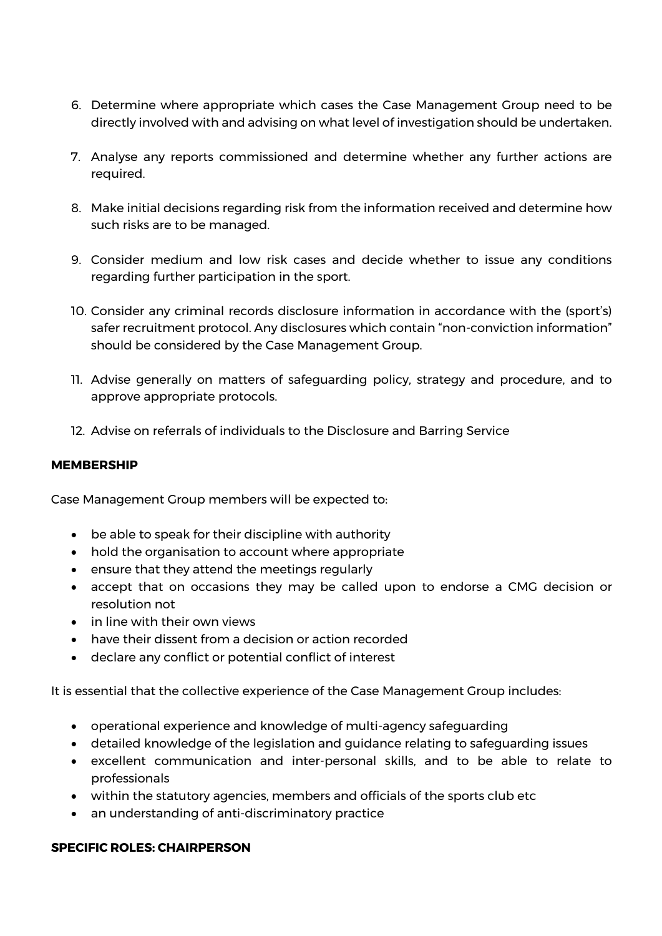- 6. Determine where appropriate which cases the Case Management Group need to be directly involved with and advising on what level of investigation should be undertaken.
- 7. Analyse any reports commissioned and determine whether any further actions are required.
- 8. Make initial decisions regarding risk from the information received and determine how such risks are to be managed.
- 9. Consider medium and low risk cases and decide whether to issue any conditions regarding further participation in the sport.
- 10. Consider any criminal records disclosure information in accordance with the (sport's) safer recruitment protocol. Any disclosures which contain "non-conviction information" should be considered by the Case Management Group.
- 11. Advise generally on matters of safeguarding policy, strategy and procedure, and to approve appropriate protocols.
- 12. Advise on referrals of individuals to the Disclosure and Barring Service

#### **MEMBERSHIP**

Case Management Group members will be expected to:

- be able to speak for their discipline with authority
- hold the organisation to account where appropriate
- ensure that they attend the meetings regularly
- accept that on occasions they may be called upon to endorse a CMG decision or resolution not
- in line with their own views
- have their dissent from a decision or action recorded
- declare any conflict or potential conflict of interest

It is essential that the collective experience of the Case Management Group includes:

- operational experience and knowledge of multi-agency safeguarding
- detailed knowledge of the legislation and guidance relating to safeguarding issues
- excellent communication and inter-personal skills, and to be able to relate to professionals
- within the statutory agencies, members and officials of the sports club etc
- an understanding of anti-discriminatory practice

### **SPECIFIC ROLES: CHAIRPERSON**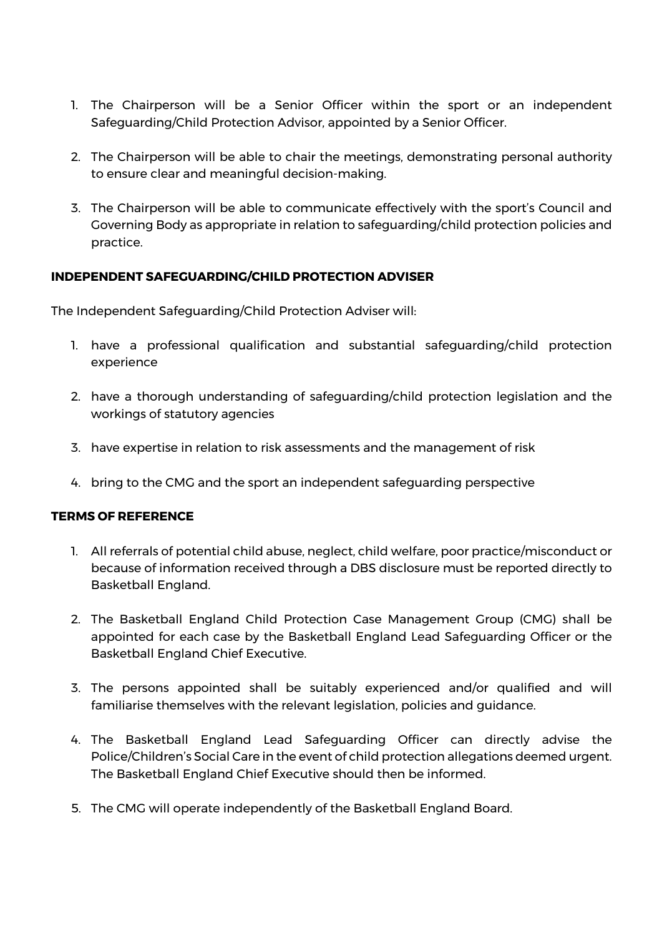- 1. The Chairperson will be a Senior Officer within the sport or an independent Safeguarding/Child Protection Advisor, appointed by a Senior Officer.
- 2. The Chairperson will be able to chair the meetings, demonstrating personal authority to ensure clear and meaningful decision-making.
- 3. The Chairperson will be able to communicate effectively with the sport's Council and Governing Body as appropriate in relation to safeguarding/child protection policies and practice.

### **INDEPENDENT SAFEGUARDING/CHILD PROTECTION ADVISER**

The Independent Safeguarding/Child Protection Adviser will:

- 1. have a professional qualification and substantial safeguarding/child protection experience
- 2. have a thorough understanding of safeguarding/child protection legislation and the workings of statutory agencies
- 3. have expertise in relation to risk assessments and the management of risk
- 4. bring to the CMG and the sport an independent safeguarding perspective

#### **TERMS OF REFERENCE**

- 1. All referrals of potential child abuse, neglect, child welfare, poor practice/misconduct or because of information received through a DBS disclosure must be reported directly to Basketball England.
- 2. The Basketball England Child Protection Case Management Group (CMG) shall be appointed for each case by the Basketball England Lead Safeguarding Officer or the Basketball England Chief Executive.
- 3. The persons appointed shall be suitably experienced and/or qualified and will familiarise themselves with the relevant legislation, policies and guidance.
- 4. The Basketball England Lead Safeguarding Officer can directly advise the Police/Children's Social Care in the event of child protection allegations deemed urgent. The Basketball England Chief Executive should then be informed.
- 5. The CMG will operate independently of the Basketball England Board.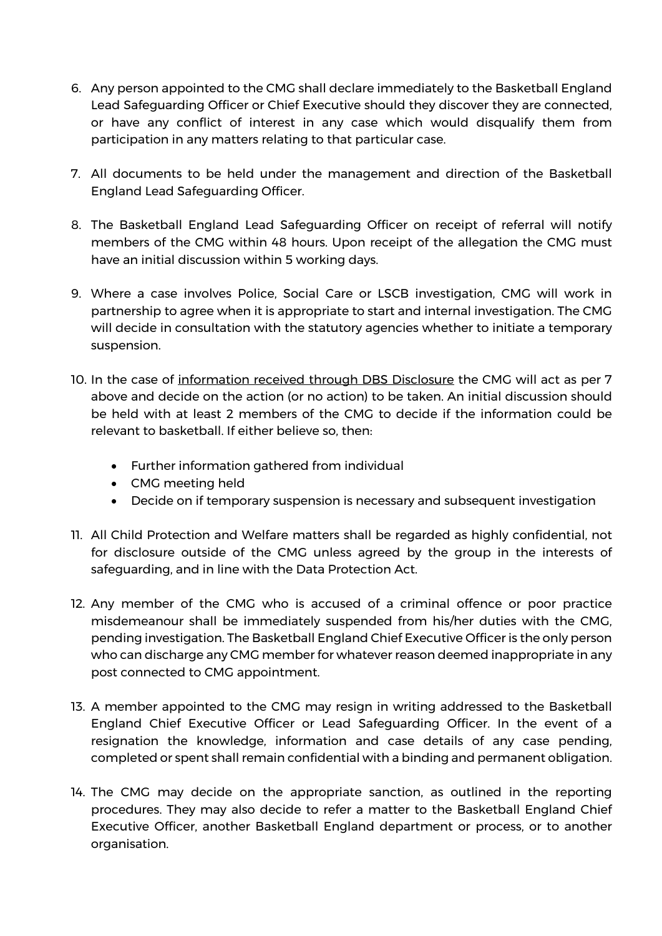- 6. Any person appointed to the CMG shall declare immediately to the Basketball England Lead Safeguarding Officer or Chief Executive should they discover they are connected, or have any conflict of interest in any case which would disqualify them from participation in any matters relating to that particular case.
- 7. All documents to be held under the management and direction of the Basketball England Lead Safeguarding Officer.
- 8. The Basketball England Lead Safeguarding Officer on receipt of referral will notify members of the CMG within 48 hours. Upon receipt of the allegation the CMG must have an initial discussion within 5 working days.
- 9. Where a case involves Police, Social Care or LSCB investigation, CMG will work in partnership to agree when it is appropriate to start and internal investigation. The CMG will decide in consultation with the statutory agencies whether to initiate a temporary suspension.
- 10. In the case of information received through DBS Disclosure the CMG will act as per 7 above and decide on the action (or no action) to be taken. An initial discussion should be held with at least 2 members of the CMG to decide if the information could be relevant to basketball. If either believe so, then:
	- Further information gathered from individual
	- CMG meeting held
	- Decide on if temporary suspension is necessary and subsequent investigation
- 11. All Child Protection and Welfare matters shall be regarded as highly confidential, not for disclosure outside of the CMG unless agreed by the group in the interests of safeguarding, and in line with the Data Protection Act.
- 12. Any member of the CMG who is accused of a criminal offence or poor practice misdemeanour shall be immediately suspended from his/her duties with the CMG, pending investigation. The Basketball England Chief Executive Officer is the only person who can discharge any CMG member for whatever reason deemed inappropriate in any post connected to CMG appointment.
- 13. A member appointed to the CMG may resign in writing addressed to the Basketball England Chief Executive Officer or Lead Safeguarding Officer. In the event of a resignation the knowledge, information and case details of any case pending, completed or spent shall remain confidential with a binding and permanent obligation.
- 14. The CMG may decide on the appropriate sanction, as outlined in the reporting procedures. They may also decide to refer a matter to the Basketball England Chief Executive Officer, another Basketball England department or process, or to another organisation.